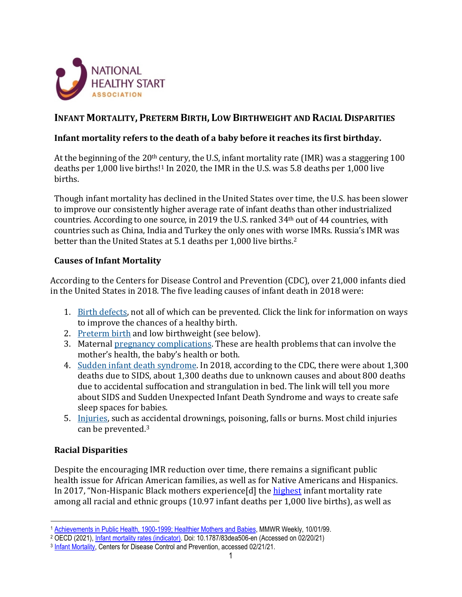

# **INFANT MORTALITY, PRETERM BIRTH, LOW BIRTHWEIGHT AND RACIAL DISPARITIES**

#### **Infant mortality refers to the death of a baby before it reaches its first birthday.**

At the beginning of the 20<sup>th</sup> century, the U.S, infant mortality rate (IMR) was a staggering 100 deaths per 1,000 live births!<sup>1</sup> In 2020, the IMR in the U.S. was 5.8 deaths per 1,000 live births.

Though infant mortality has declined in the United States over time, the U.S. has been slower to improve our consistently higher average rate of infant deaths than other industrialized countries. According to one source, in 2019 the U.S. ranked 34th out of 44 countries, with countries such as China, India and Turkey the only ones with worse IMRs. Russia's IMR was better than the United States at 5.1 deaths per 1,000 live births.<sup>[2](#page-0-1)</sup>

#### **Causes of Infant Mortality**

According to the Centers for Disease Control and Prevention (CDC), over 21,000 infants died in the United States in 2018. The five leading causes of infant death in 2018 were:

- 1. [Birth defects,](https://www.cdc.gov/ncbddd/birthdefects/index.html) not all of which can be prevented. Click the link for information on ways to improve the chances of a healthy birth.
- 2. [Preterm birth](https://www.cdc.gov/reproductivehealth/maternalinfanthealth/pretermbirth.htm) and low birthweight (see below).
- 3. Maternal [pregnancy complications.](https://www.cdc.gov/reproductivehealth/maternalinfanthealth/pregcomplications.htm) These are health problems that can involve the mother's health, the baby's health or both.
- 4. [Sudden infant death syndrome.](https://www.cdc.gov/sids/index.htm) In 2018, according to the CDC, there were about 1,300 deaths due to SIDS, about 1,300 deaths due to unknown causes and about 800 deaths due to accidental suffocation and strangulation in bed. The link will tell you more about SIDS and Sudden Unexpected Infant Death Syndrome and ways to create safe sleep spaces for babies.
- 5. [Injuries,](https://www.cdc.gov/safechild/index.html) such as accidental drownings, poisoning, falls or burns. Most child injuries can be prevented.[3](#page-0-2)

## **Racial Disparities**

Despite the encouraging IMR reduction over time, there remains a significant public health issue for African American families, as well as for Native Americans and Hispanics. In 2017, "Non-Hispanic Black mothers experience[d] the [highest](https://www.cdc.gov/nchs/data/nvsr/nvsr68/nvsr68_10-508.pdf) infant mortality rate among all racial and ethnic groups (10.97 infant deaths per 1,000 live births), as well as

<span id="page-0-0"></span><sup>1</sup> [Achievements in Public Health, 1900-1999; Healthier Mothers and Babies,](https://www.cdc.gov/mmwr/preview/mmwrhtml/mm4838a2.htm) MMWR Weekly, 10/01/99.

<span id="page-0-1"></span><sup>2</sup> OECD (2021)[, Infant mortality rates \(indicator\).](https://data.oecd.org/healthstat/infant-mortality-rates.htm) Doi: 10.1787/83dea506-en (Accessed on 02/20/21)

<span id="page-0-2"></span><sup>3</sup> [Infant Mortality,](https://www.cdc.gov/reproductivehealth/maternalinfanthealth/infantmortality.htm#:%7E:text=Causes%20of%20Infant%20Mortality.%20Over%2022,000%20infants%20died,weight.%20Maternal%20pregnancy%20complications.%20Sudden%20infant%20death%20syndrome.) Centers for Disease Control and Prevention, accessed 02/21/21.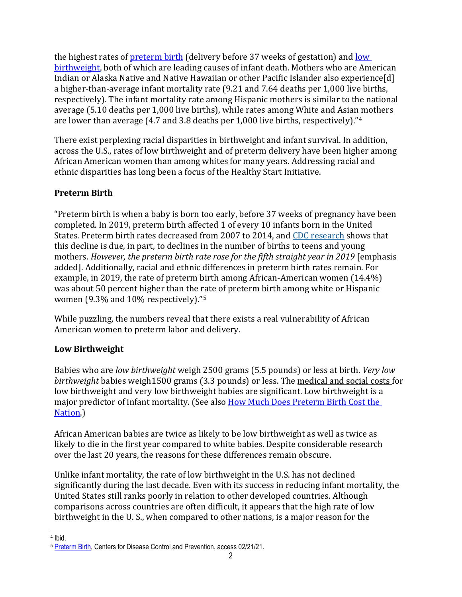the highest rates of [preterm birth](https://www.cdc.gov/nchs/data/nvsr/nvsr67/nvsr67_08-508.pdf) (delivery before 37 weeks of gestation) and [low](https://www.cdc.gov/nchs/products/databriefs/db306.htm)  [birthweight,](https://www.cdc.gov/nchs/products/databriefs/db306.htm) both of which are leading causes of infant death. Mothers who are American Indian or Alaska Native and Native Hawaiian or other Pacific Islander also experience[d] a higher-than-average infant mortality rate (9.21 and 7.64 deaths per 1,000 live births, respectively). The infant mortality rate among Hispanic mothers is similar to the national average (5.10 deaths per 1,000 live births), while rates among White and Asian mothers are lower than average (4.7 and 3.8 deaths per 1,000 live births, respectively)."[4](#page-1-0)

There exist perplexing racial disparities in birthweight and infant survival. In addition, across the U.S., rates of low birthweight and of preterm delivery have been higher among African American women than among whites for many years. Addressing racial and ethnic disparities has long been a focus of the Healthy Start Initiative.

## **Preterm Birth**

"Preterm birth is when a baby is born too early, before 37 weeks of pregnancy have been completed. In 2019, preterm birth affected 1 of every 10 infants born in the United States. Preterm birth rates decreased from 2007 to 2014, and [CDC research](https://www.cdc.gov/mmwr/volumes/65/wr/mm6543a1.htm) shows that this decline is due, in part, to declines in the number of births to teens and young mothers. *However, the preterm birth rate rose for the fifth straight year in 2019* [emphasis added]. Additionally, racial and ethnic differences in preterm birth rates remain. For example, in 2019, the rate of preterm birth among African-American women (14.4%) was about 50 percent higher than the rate of preterm birth among white or Hispanic women (9.3% and 10% respectively)."[5](#page-1-1)

While puzzling, the numbers reveal that there exists a real vulnerability of African American women to preterm labor and delivery.

## **Low Birthweight**

Babies who are *low birthweight* weigh 2500 grams (5.5 pounds) or less at birth. *Very low birthweight* babies weigh1500 grams (3.3 pounds) or less. The medical and social costs for low birthweight and very low birthweight babies are significant. Low birthweight is a major predictor of infant mortality. (See also How Much Does Preterm Birth Cost the [Nation.](https://documentcloud.adobe.com/link/review?uri=urn:aaid:scds:US:4b550323-54a6-456c-be0d-55adc0960009))

African American babies are twice as likely to be low birthweight as well as twice as likely to die in the first year compared to white babies. Despite considerable research over the last 20 years, the reasons for these differences remain obscure.

Unlike infant mortality, the rate of low birthweight in the U.S. has not declined significantly during the last decade. Even with its success in reducing infant mortality, the United States still ranks poorly in relation to other developed countries. Although comparisons across countries are often difficult, it appears that the high rate of low birthweight in the U. S., when compared to other nations, is a major reason for the

<span id="page-1-0"></span><sup>4</sup> Ibid.

<span id="page-1-1"></span><sup>5</sup> [Preterm Birth,](https://www.cdc.gov/reproductivehealth/maternalinfanthealth/pretermbirth.htm) Centers for Disease Control and Prevention, access 02/21/21.